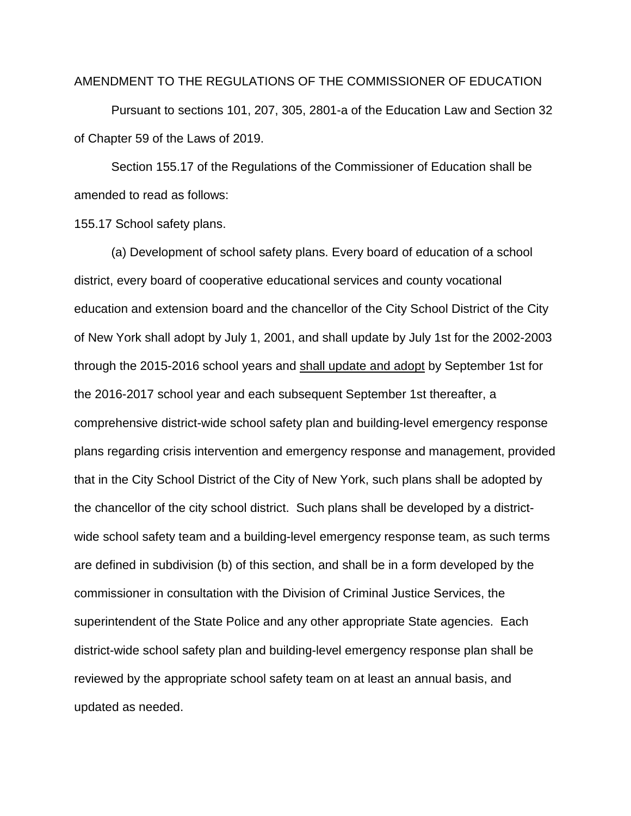## AMENDMENT TO THE REGULATIONS OF THE COMMISSIONER OF EDUCATION

Pursuant to sections 101, 207, 305, 2801-a of the Education Law and Section 32 of Chapter 59 of the Laws of 2019.

Section 155.17 of the Regulations of the Commissioner of Education shall be amended to read as follows:

155.17 School safety plans.

(a) Development of school safety plans. Every board of education of a school district, every board of cooperative educational services and county vocational education and extension board and the chancellor of the City School District of the City of New York shall adopt by July 1, 2001, and shall update by July 1st for the 2002-2003 through the 2015-2016 school years and shall update and adopt by September 1st for the 2016-2017 school year and each subsequent September 1st thereafter, a comprehensive district-wide school safety plan and building-level emergency response plans regarding crisis intervention and emergency response and management, provided that in the City School District of the City of New York, such plans shall be adopted by the chancellor of the city school district. Such plans shall be developed by a districtwide school safety team and a building-level emergency response team, as such terms are defined in subdivision (b) of this section, and shall be in a form developed by the commissioner in consultation with the Division of Criminal Justice Services, the superintendent of the State Police and any other appropriate State agencies. Each district-wide school safety plan and building-level emergency response plan shall be reviewed by the appropriate school safety team on at least an annual basis, and updated as needed.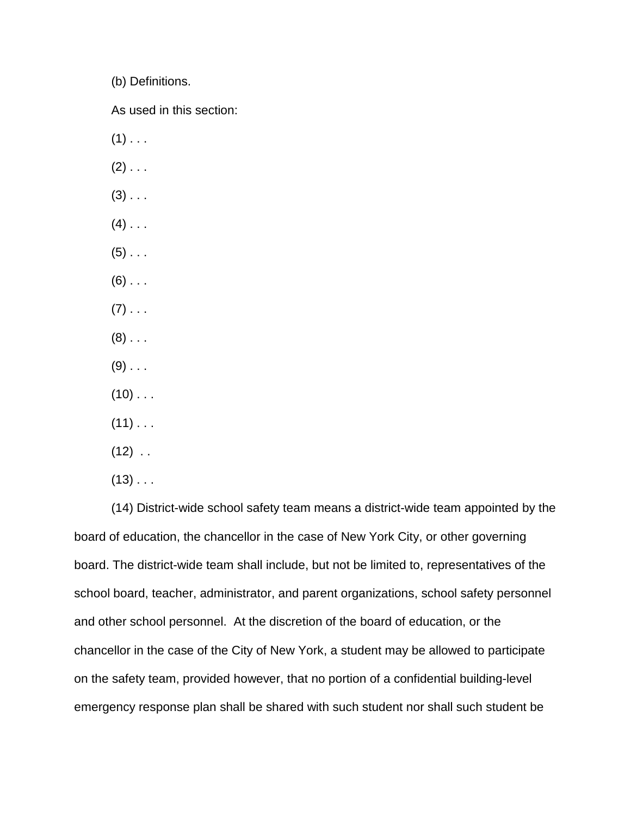(b) Definitions.

As used in this section:

- $(1)$  . . .
- $(2)$  . . .
- $(3)$  . . .
- $(4)$  . . .
- $(5)$  . . .
- $(6)$  . . .
- $(7)$  . . .
- $(8)$  . . .
- $(9)$  . . .
- $(10)$  . . .
- $(11)$  . . .
- $(12)$  .
- $(13)$  . . .

(14) District-wide school safety team means a district-wide team appointed by the board of education, the chancellor in the case of New York City, or other governing board. The district-wide team shall include, but not be limited to, representatives of the school board, teacher, administrator, and parent organizations, school safety personnel and other school personnel. At the discretion of the board of education, or the chancellor in the case of the City of New York, a student may be allowed to participate on the safety team, provided however, that no portion of a confidential building-level emergency response plan shall be shared with such student nor shall such student be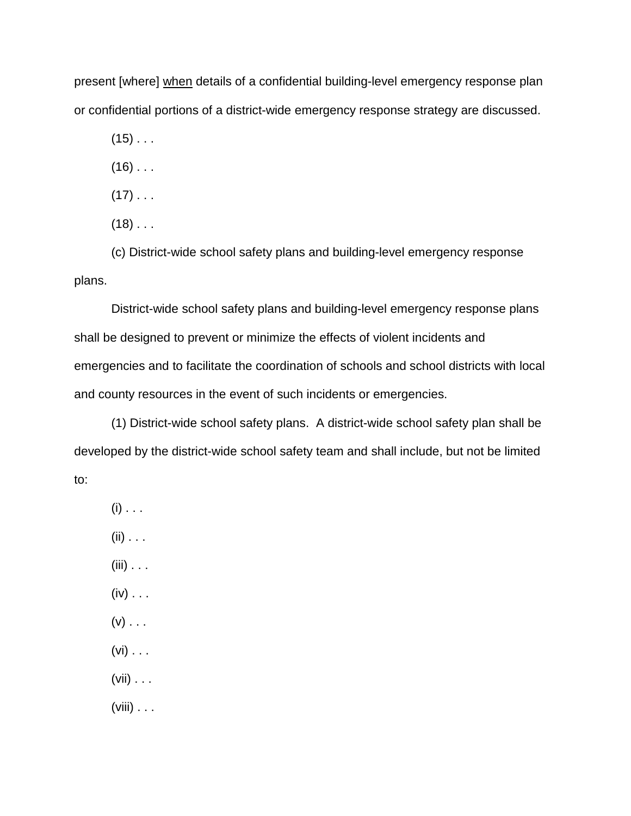present [where] when details of a confidential building-level emergency response plan or confidential portions of a district-wide emergency response strategy are discussed.

 $(15)$  . . .

 $(16)$  . . .

 $(17)$  . . .

 $(18)$  . . .

(c) District-wide school safety plans and building-level emergency response plans.

District-wide school safety plans and building-level emergency response plans shall be designed to prevent or minimize the effects of violent incidents and emergencies and to facilitate the coordination of schools and school districts with local and county resources in the event of such incidents or emergencies.

(1) District-wide school safety plans. A district-wide school safety plan shall be developed by the district-wide school safety team and shall include, but not be limited to:

 $(i)$  . . .  $(ii) \ldots$  $(iii) \ldots$  $(iv) \ldots$  $(v)$  . . .  $(vi) \ldots$  $(vii) \ldots$ 

(viii)  $\ldots$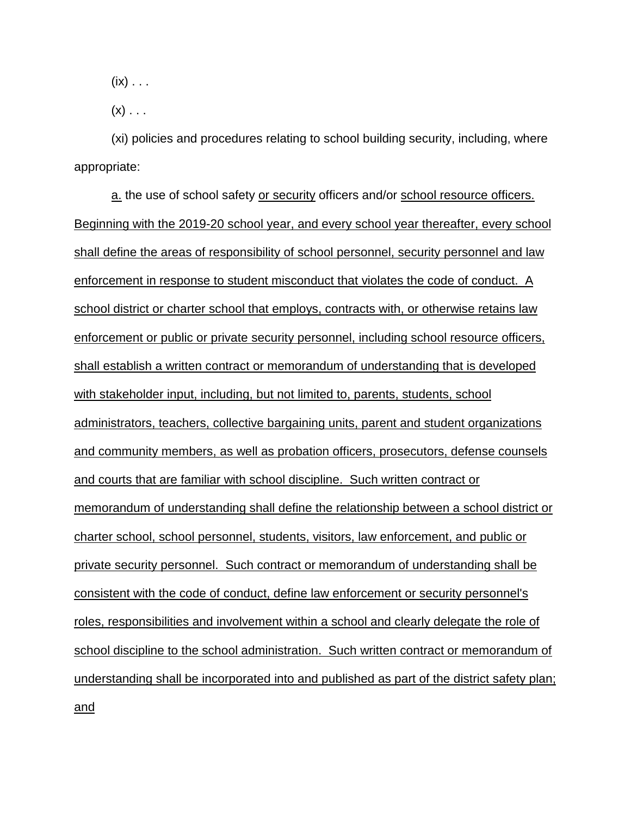$(ix) \ldots$ 

 $(x)$  . . .

(xi) policies and procedures relating to school building security, including, where appropriate:

a. the use of school safety or security officers and/or school resource officers. Beginning with the 2019-20 school year, and every school year thereafter, every school shall define the areas of responsibility of school personnel, security personnel and law enforcement in response to student misconduct that violates the code of conduct. A school district or charter school that employs, contracts with, or otherwise retains law enforcement or public or private security personnel, including school resource officers, shall establish a written contract or memorandum of understanding that is developed with stakeholder input, including, but not limited to, parents, students, school administrators, teachers, collective bargaining units, parent and student organizations and community members, as well as probation officers, prosecutors, defense counsels and courts that are familiar with school discipline. Such written contract or memorandum of understanding shall define the relationship between a school district or charter school, school personnel, students, visitors, law enforcement, and public or private security personnel. Such contract or memorandum of understanding shall be consistent with the code of conduct, define law enforcement or security personnel's roles, responsibilities and involvement within a school and clearly delegate the role of school discipline to the school administration. Such written contract or memorandum of understanding shall be incorporated into and published as part of the district safety plan; and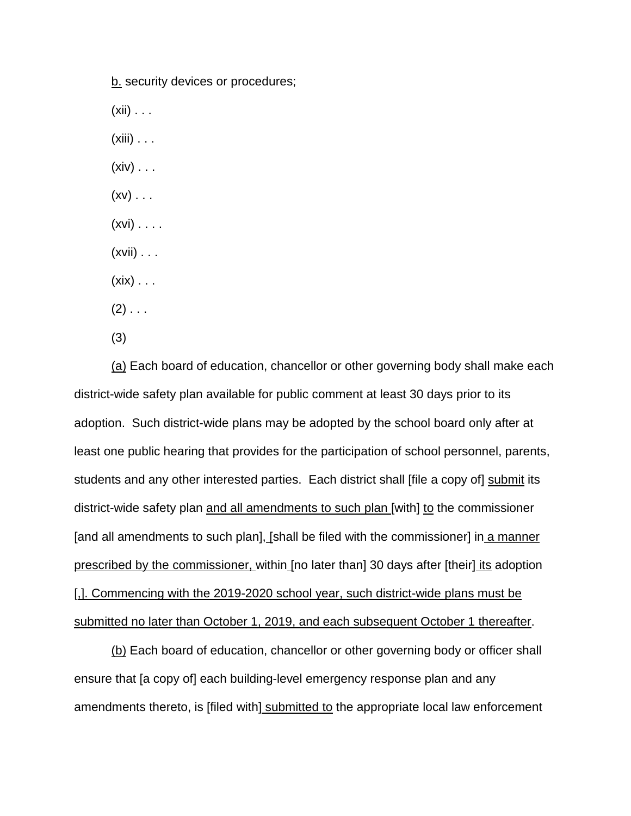b. security devices or procedures;  $(xii) \ldots$  $(xiii) \ldots$  $(xiv) \ldots$  $(xv)$  . . .  $(xvi) \ldots$ .  $(xvii) \ldots$  $(xix) \ldots$  $(2)$  . . . (3)

(a) Each board of education, chancellor or other governing body shall make each district-wide safety plan available for public comment at least 30 days prior to its adoption. Such district-wide plans may be adopted by the school board only after at least one public hearing that provides for the participation of school personnel, parents, students and any other interested parties. Each district shall [file a copy of] submit its district-wide safety plan and all amendments to such plan [with] to the commissioner [and all amendments to such plan], [shall be filed with the commissioner] in a manner prescribed by the commissioner, within [no later than] 30 days after [their] its adoption [,]. Commencing with the 2019-2020 school year, such district-wide plans must be submitted no later than October 1, 2019, and each subsequent October 1 thereafter.

(b) Each board of education, chancellor or other governing body or officer shall ensure that [a copy of] each building-level emergency response plan and any amendments thereto, is [filed with<u>] submitted to</u> the appropriate local law enforcement